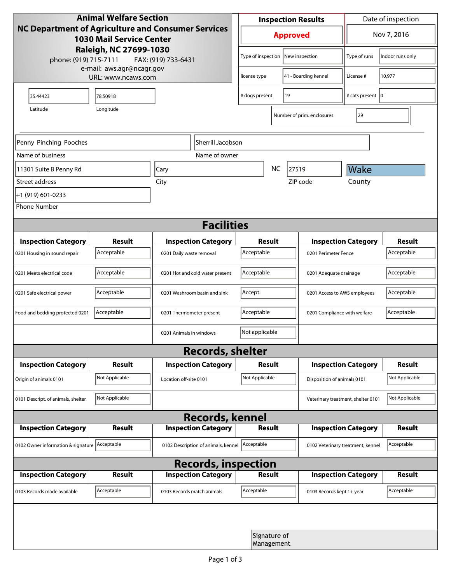| <b>Animal Welfare Section</b><br>NC Department of Agriculture and Consumer Services<br><b>1030 Mail Service Center</b> |                |                                     | <b>Inspection Results</b>                  |                            |                                    | Date of inspection          |                  |  |
|------------------------------------------------------------------------------------------------------------------------|----------------|-------------------------------------|--------------------------------------------|----------------------------|------------------------------------|-----------------------------|------------------|--|
|                                                                                                                        |                |                                     | <b>Approved</b>                            |                            |                                    | Nov 7, 2016                 |                  |  |
| Raleigh, NC 27699-1030<br>phone: (919) 715-7111<br>FAX: (919) 733-6431                                                 |                |                                     | Type of inspection                         |                            | New inspection                     | Type of runs                | Indoor runs only |  |
| e-mail: aws.agr@ncagr.gov<br>URL: www.ncaws.com                                                                        |                |                                     | 41 - Boarding kennel<br>license type       |                            | License #                          | 10,977                      |                  |  |
| 35.44423                                                                                                               | 78.50918       |                                     | 19<br># dogs present                       |                            |                                    | # cats present   0          |                  |  |
| Latitude                                                                                                               | Longitude      |                                     |                                            |                            | Number of prim. enclosures         | 29                          |                  |  |
| Penny Pinching Pooches<br>Sherrill Jacobson                                                                            |                |                                     |                                            |                            |                                    |                             |                  |  |
| Name of business                                                                                                       |                | Name of owner                       |                                            |                            |                                    |                             |                  |  |
| 11301 Suite B Penny Rd                                                                                                 |                | Cary                                | <b>NC</b><br>27519                         |                            |                                    | Wake                        |                  |  |
| Street address                                                                                                         |                | City                                | ZIP code                                   |                            |                                    | County                      |                  |  |
| +1 (919) 601-0233                                                                                                      |                |                                     |                                            |                            |                                    |                             |                  |  |
| <b>Phone Number</b>                                                                                                    |                |                                     |                                            |                            |                                    |                             |                  |  |
| <b>Facilities</b>                                                                                                      |                |                                     |                                            |                            |                                    |                             |                  |  |
|                                                                                                                        |                |                                     |                                            |                            |                                    |                             | <b>Result</b>    |  |
| <b>Inspection Category</b>                                                                                             | <b>Result</b>  | <b>Inspection Category</b>          | Result                                     |                            |                                    | <b>Inspection Category</b>  |                  |  |
| 0201 Housing in sound repair                                                                                           | Acceptable     | 0201 Daily waste removal            | Acceptable                                 |                            | 0201 Perimeter Fence               |                             | Acceptable       |  |
| 0201 Meets electrical code                                                                                             | Acceptable     | 0201 Hot and cold water present     | Acceptable<br>0201 Adequate drainage       |                            |                                    | Acceptable                  |                  |  |
| 0201 Safe electrical power                                                                                             | Acceptable     | 0201 Washroom basin and sink        | Accept.                                    |                            | 0201 Access to AWS employees       |                             | Acceptable       |  |
| Food and bedding protected 0201                                                                                        | Acceptable     | 0201 Thermometer present            | Acceptable<br>0201 Compliance with welfare |                            |                                    | Acceptable                  |                  |  |
|                                                                                                                        |                | 0201 Animals in windows             | Not applicable                             |                            |                                    |                             |                  |  |
| <b>Records, shelter</b>                                                                                                |                |                                     |                                            |                            |                                    |                             |                  |  |
| <b>Inspection Category</b>                                                                                             | Result         | <b>Inspection Category</b>          | Result                                     |                            |                                    | <b>Inspection Category</b>  | <b>Result</b>    |  |
| Origin of animals 0101                                                                                                 | Not Applicable | Location off-site 0101              | Not Applicable                             |                            |                                    | Disposition of animals 0101 |                  |  |
| 0101 Descript. of animals, shelter                                                                                     | Not Applicable |                                     |                                            |                            | Veterinary treatment, shelter 0101 |                             | Not Applicable   |  |
|                                                                                                                        |                | <b>Records, kennel</b>              |                                            |                            |                                    |                             |                  |  |
| <b>Inspection Category</b>                                                                                             | <b>Result</b>  | <b>Inspection Category</b>          |                                            | <b>Result</b>              |                                    | <b>Inspection Category</b>  | <b>Result</b>    |  |
| 0102 Owner information & signature Acceptable                                                                          |                | 0102 Description of animals, kennel | Acceptable                                 |                            | 0102 Veterinary treatment, kennel  |                             | Acceptable       |  |
| <b>Records, inspection</b>                                                                                             |                |                                     |                                            |                            |                                    |                             |                  |  |
| <b>Inspection Category</b>                                                                                             | Result         | <b>Inspection Category</b>          | Result                                     |                            |                                    | <b>Inspection Category</b>  | <b>Result</b>    |  |
| 0103 Records made available                                                                                            | Acceptable     | 0103 Records match animals          | Acceptable                                 |                            | 0103 Records kept 1+ year          |                             | Acceptable       |  |
|                                                                                                                        |                |                                     |                                            |                            |                                    |                             |                  |  |
|                                                                                                                        |                |                                     |                                            | Signature of<br>Management |                                    |                             |                  |  |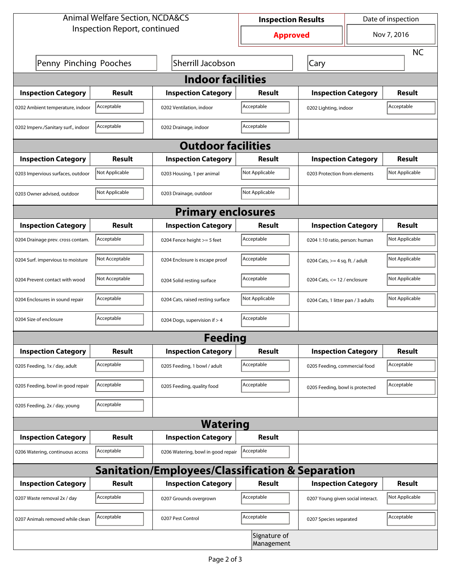| <b>Animal Welfare Section, NCDA&amp;CS</b> |                |                                                             | <b>Inspection Results</b>  |                                    | Date of inspection             |                |  |  |
|--------------------------------------------|----------------|-------------------------------------------------------------|----------------------------|------------------------------------|--------------------------------|----------------|--|--|
| Inspection Report, continued               |                |                                                             | <b>Approved</b>            |                                    | Nov 7, 2016                    |                |  |  |
|                                            |                |                                                             |                            |                                    |                                | <b>NC</b>      |  |  |
| Penny Pinching Pooches                     |                | Sherrill Jacobson                                           |                            | Cary                               |                                |                |  |  |
| <b>Indoor facilities</b>                   |                |                                                             |                            |                                    |                                |                |  |  |
| <b>Inspection Category</b>                 | Result         | <b>Inspection Category</b>                                  | Result                     | <b>Inspection Category</b>         |                                | Result         |  |  |
| 0202 Ambient temperature, indoor           | Acceptable     | 0202 Ventilation, indoor                                    | Acceptable                 | 0202 Lighting, indoor              |                                | Acceptable     |  |  |
| 0202 Imperv./Sanitary surf., indoor        | Acceptable     | 0202 Drainage, indoor                                       | Acceptable                 |                                    |                                |                |  |  |
| <b>Outdoor facilities</b>                  |                |                                                             |                            |                                    |                                |                |  |  |
| <b>Inspection Category</b>                 | Result         | <b>Inspection Category</b>                                  | Result                     | <b>Inspection Category</b>         |                                | Result         |  |  |
| 0203 Impervious surfaces, outdoor          | Not Applicable | 0203 Housing, 1 per animal                                  | Not Applicable             | 0203 Protection from elements      |                                | Not Applicable |  |  |
| 0203 Owner advised, outdoor                | Not Applicable | 0203 Drainage, outdoor                                      | Not Applicable             |                                    |                                |                |  |  |
|                                            |                | <b>Primary enclosures</b>                                   |                            |                                    |                                |                |  |  |
| <b>Inspection Category</b>                 | Result         | <b>Inspection Category</b>                                  | Result                     | <b>Inspection Category</b>         |                                | Result         |  |  |
| 0204 Drainage prev. cross contam.          | Acceptable     | 0204 Fence height >= 5 feet                                 | Acceptable                 |                                    | 0204 1:10 ratio, person: human |                |  |  |
| 0204 Surf. impervious to moisture          | Not Acceptable | 0204 Enclosure is escape proof                              | Acceptable                 | 0204 Cats, $>=$ 4 sq. ft. / adult  |                                | Not Applicable |  |  |
| 0204 Prevent contact with wood             | Not Acceptable | 0204 Solid resting surface                                  | Acceptable                 | 0204 Cats, $<= 12$ / enclosure     |                                | Not Applicable |  |  |
| 0204 Enclosures in sound repair            | Acceptable     | 0204 Cats, raised resting surface                           | Not Applicable             | 0204 Cats, 1 litter pan / 3 adults |                                | Not Applicable |  |  |
| 0204 Size of enclosure                     | Acceptable     | 0204 Dogs, supervision if > 4                               | Acceptable                 |                                    |                                |                |  |  |
|                                            |                | <b>Feeding</b>                                              |                            |                                    |                                |                |  |  |
| <b>Inspection Category</b>                 | <b>Result</b>  | <b>Inspection Category</b>                                  | <b>Result</b>              | <b>Inspection Category</b>         |                                | <b>Result</b>  |  |  |
| 0205 Feeding, 1x / day, adult              | Acceptable     | 0205 Feeding, 1 bowl / adult                                | Acceptable                 | 0205 Feeding, commercial food      |                                | Acceptable     |  |  |
| 0205 Feeding, bowl in good repair          | Acceptable     | 0205 Feeding, quality food                                  | Acceptable                 | 0205 Feeding, bowl is protected    |                                | Acceptable     |  |  |
| 0205 Feeding, 2x / day, young              | Acceptable     |                                                             |                            |                                    |                                |                |  |  |
|                                            |                | <b>Watering</b>                                             |                            |                                    |                                |                |  |  |
| <b>Inspection Category</b>                 | <b>Result</b>  | <b>Inspection Category</b>                                  | <b>Result</b>              |                                    |                                |                |  |  |
| 0206 Watering, continuous access           | Acceptable     | 0206 Watering, bowl in good repair                          | Acceptable                 |                                    |                                |                |  |  |
|                                            |                | <b>Sanitation/Employees/Classification &amp; Separation</b> |                            |                                    |                                |                |  |  |
| <b>Inspection Category</b>                 | <b>Result</b>  | <b>Inspection Category</b>                                  | Result                     | <b>Inspection Category</b>         |                                | <b>Result</b>  |  |  |
| 0207 Waste removal 2x / day                | Acceptable     | 0207 Grounds overgrown                                      | Acceptable                 | 0207 Young given social interact.  |                                | Not Applicable |  |  |
| 0207 Animals removed while clean           | Acceptable     | 0207 Pest Control                                           | Acceptable                 | 0207 Species separated             |                                | Acceptable     |  |  |
|                                            |                |                                                             | Signature of<br>Management |                                    |                                |                |  |  |